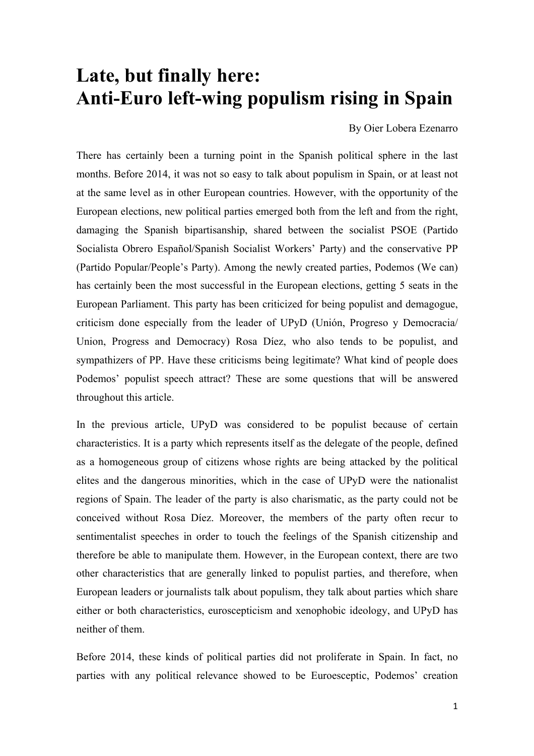## **Late, but finally here: Anti-Euro left-wing populism rising in Spain**

By Oier Lobera Ezenarro

There has certainly been a turning point in the Spanish political sphere in the last months. Before 2014, it was not so easy to talk about populism in Spain, or at least not at the same level as in other European countries. However, with the opportunity of the European elections, new political parties emerged both from the left and from the right, damaging the Spanish bipartisanship, shared between the socialist PSOE (Partido Socialista Obrero Español/Spanish Socialist Workers' Party) and the conservative PP (Partido Popular/People's Party). Among the newly created parties, Podemos (We can) has certainly been the most successful in the European elections, getting 5 seats in the European Parliament. This party has been criticized for being populist and demagogue, criticism done especially from the leader of UPyD (Unión, Progreso y Democracia/ Union, Progress and Democracy) Rosa Díez, who also tends to be populist, and sympathizers of PP. Have these criticisms being legitimate? What kind of people does Podemos' populist speech attract? These are some questions that will be answered throughout this article.

In the previous article, UPyD was considered to be populist because of certain characteristics. It is a party which represents itself as the delegate of the people, defined as a homogeneous group of citizens whose rights are being attacked by the political elites and the dangerous minorities, which in the case of UPyD were the nationalist regions of Spain. The leader of the party is also charismatic, as the party could not be conceived without Rosa Díez. Moreover, the members of the party often recur to sentimentalist speeches in order to touch the feelings of the Spanish citizenship and therefore be able to manipulate them. However, in the European context, there are two other characteristics that are generally linked to populist parties, and therefore, when European leaders or journalists talk about populism, they talk about parties which share either or both characteristics, euroscepticism and xenophobic ideology, and UPyD has neither of them.

Before 2014, these kinds of political parties did not proliferate in Spain. In fact, no parties with any political relevance showed to be Euroesceptic, Podemos' creation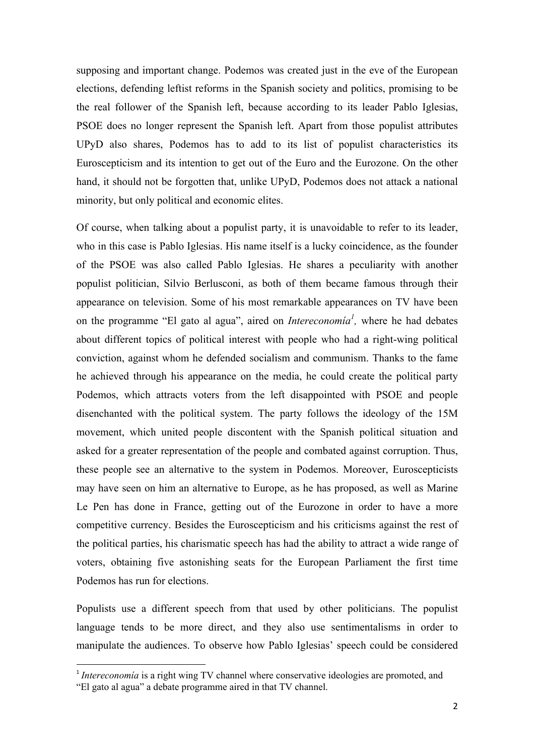supposing and important change. Podemos was created just in the eve of the European elections, defending leftist reforms in the Spanish society and politics, promising to be the real follower of the Spanish left, because according to its leader Pablo Iglesias, PSOE does no longer represent the Spanish left. Apart from those populist attributes UPyD also shares, Podemos has to add to its list of populist characteristics its Euroscepticism and its intention to get out of the Euro and the Eurozone. On the other hand, it should not be forgotten that, unlike UPyD, Podemos does not attack a national minority, but only political and economic elites.

Of course, when talking about a populist party, it is unavoidable to refer to its leader, who in this case is Pablo Iglesias. His name itself is a lucky coincidence, as the founder of the PSOE was also called Pablo Iglesias. He shares a peculiarity with another populist politician, Silvio Berlusconi, as both of them became famous through their appearance on television. Some of his most remarkable appearances on TV have been on the programme "El gato al agua", aired on *Intereconomia<sup>l</sup>*, where he had debates about different topics of political interest with people who had a right-wing political conviction, against whom he defended socialism and communism. Thanks to the fame he achieved through his appearance on the media, he could create the political party Podemos, which attracts voters from the left disappointed with PSOE and people disenchanted with the political system. The party follows the ideology of the 15M movement, which united people discontent with the Spanish political situation and asked for a greater representation of the people and combated against corruption. Thus, these people see an alternative to the system in Podemos. Moreover, Euroscepticists may have seen on him an alternative to Europe, as he has proposed, as well as Marine Le Pen has done in France, getting out of the Eurozone in order to have a more competitive currency. Besides the Euroscepticism and his criticisms against the rest of the political parties, his charismatic speech has had the ability to attract a wide range of voters, obtaining five astonishing seats for the European Parliament the first time Podemos has run for elections.

Populists use a different speech from that used by other politicians. The populist language tends to be more direct, and they also use sentimentalisms in order to manipulate the audiences. To observe how Pablo Iglesias' speech could be considered

<u> 1989 - Johann Stein, fransk politik (d. 1989)</u>

<sup>&</sup>lt;sup>1</sup> *Intereconomía* is a right wing TV channel where conservative ideologies are promoted, and

<sup>&</sup>quot;El gato al agua" a debate programme aired in that TV channel.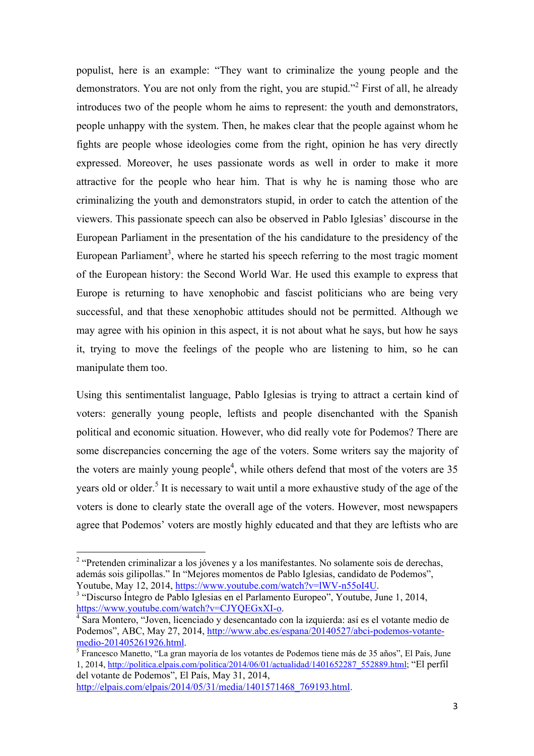populist, here is an example: "They want to criminalize the young people and the demonstrators. You are not only from the right, you are stupid."<sup>2</sup> First of all, he already introduces two of the people whom he aims to represent: the youth and demonstrators, people unhappy with the system. Then, he makes clear that the people against whom he fights are people whose ideologies come from the right, opinion he has very directly expressed. Moreover, he uses passionate words as well in order to make it more attractive for the people who hear him. That is why he is naming those who are criminalizing the youth and demonstrators stupid, in order to catch the attention of the viewers. This passionate speech can also be observed in Pablo Iglesias' discourse in the European Parliament in the presentation of the his candidature to the presidency of the European Parliament<sup>3</sup>, where he started his speech referring to the most tragic moment of the European history: the Second World War. He used this example to express that Europe is returning to have xenophobic and fascist politicians who are being very successful, and that these xenophobic attitudes should not be permitted. Although we may agree with his opinion in this aspect, it is not about what he says, but how he says it, trying to move the feelings of the people who are listening to him, so he can manipulate them too.

Using this sentimentalist language, Pablo Iglesias is trying to attract a certain kind of voters: generally young people, leftists and people disenchanted with the Spanish political and economic situation. However, who did really vote for Podemos? There are some discrepancies concerning the age of the voters. Some writers say the majority of the voters are mainly young people<sup>4</sup>, while others defend that most of the voters are  $35$ years old or older.<sup>5</sup> It is necessary to wait until a more exhaustive study of the age of the voters is done to clearly state the overall age of the voters. However, most newspapers agree that Podemos' voters are mostly highly educated and that they are leftists who are

 

<sup>&</sup>lt;sup>2</sup> "Pretenden criminalizar a los jóvenes y a los manifestantes. No solamente sois de derechas, además sois gilipollas." In "Mejores momentos de Pablo Iglesias, candidato de Podemos", Youtube, May 12, 2014, https://www.youtube.com/watch?v=lWV-n55oI4U.

<sup>&</sup>lt;sup>3</sup> "Discurso Íntegro de Pablo Iglesias en el Parlamento Europeo", Youtube, June 1, 2014, https://www.youtube.com/watch?v=CJYQEGxXI-o. 4

Sara Montero, "Joven, licenciado y desencantado con la izquierda: así es el votante medio de Podemos", ABC, May 27, 2014, http://www.abc.es/espana/20140527/abci-podemos-votantemedio-201405261926.html. 5

 $\frac{1}{5}$  Francesco Manetto, "La gran mayoría de los votantes de Podemos tiene más de 35 años", El País, June 1, 2014, http://politica.elpais.com/politica/2014/06/01/actualidad/1401652287\_552889.html; "El perfil del votante de Podemos", El País, May 31, 2014,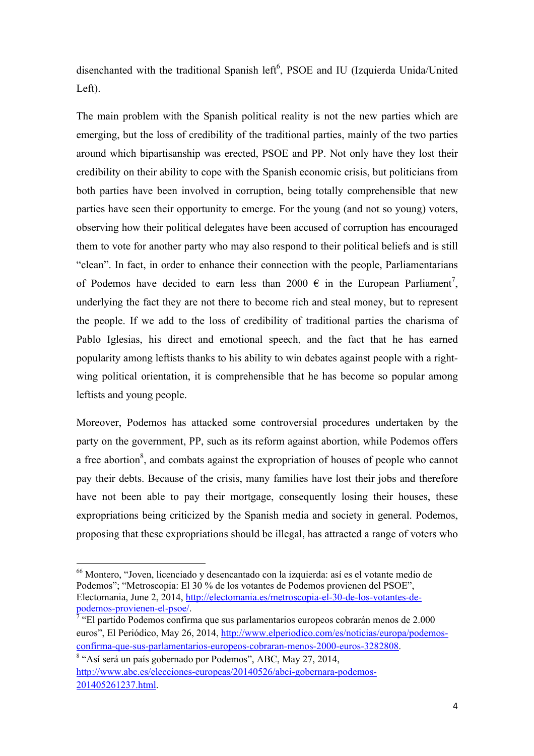disenchanted with the traditional Spanish left<sup>6</sup>, PSOE and IU (Izquierda Unida/United Left).

The main problem with the Spanish political reality is not the new parties which are emerging, but the loss of credibility of the traditional parties, mainly of the two parties around which bipartisanship was erected, PSOE and PP. Not only have they lost their credibility on their ability to cope with the Spanish economic crisis, but politicians from both parties have been involved in corruption, being totally comprehensible that new parties have seen their opportunity to emerge. For the young (and not so young) voters, observing how their political delegates have been accused of corruption has encouraged them to vote for another party who may also respond to their political beliefs and is still "clean". In fact, in order to enhance their connection with the people, Parliamentarians of Podemos have decided to earn less than 2000  $\epsilon$  in the European Parliament<sup>7</sup>, underlying the fact they are not there to become rich and steal money, but to represent the people. If we add to the loss of credibility of traditional parties the charisma of Pablo Iglesias, his direct and emotional speech, and the fact that he has earned popularity among leftists thanks to his ability to win debates against people with a rightwing political orientation, it is comprehensible that he has become so popular among leftists and young people.

Moreover, Podemos has attacked some controversial procedures undertaken by the party on the government, PP, such as its reform against abortion, while Podemos offers a free abortion<sup>8</sup>, and combats against the expropriation of houses of people who cannot pay their debts. Because of the crisis, many families have lost their jobs and therefore have not been able to pay their mortgage, consequently losing their houses, these expropriations being criticized by the Spanish media and society in general. Podemos, proposing that these expropriations should be illegal, has attracted a range of voters who

<u> 1989 - Johann Stein, fransk politik (d. 1989)</u>

<sup>66</sup> Montero, "Joven, licenciado y desencantado con la izquierda: así es el votante medio de Podemos"; "Metroscopia: El 30 % de los votantes de Podemos provienen del PSOE", Electomania, June 2, 2014, http://electomania.es/metroscopia-el-30-de-los-votantes-depodemos-provienen-el-psoe/.<br><sup>7</sup> "El partido Podemos confirma que sus parlamentarios europeos cobrarán menos de 2.000

euros", El Periódico, May 26, 2014, http://www.elperiodico.com/es/noticias/europa/podemosconfirma-que-sus-parlamentarios-europeos-cobraran-menos-2000-euros-3282808.

<sup>&</sup>lt;sup>8</sup> "Así será un país gobernado por Podemos", ABC, May 27, 2014, http://www.abc.es/elecciones-europeas/20140526/abci-gobernara-podemos-201405261237.html.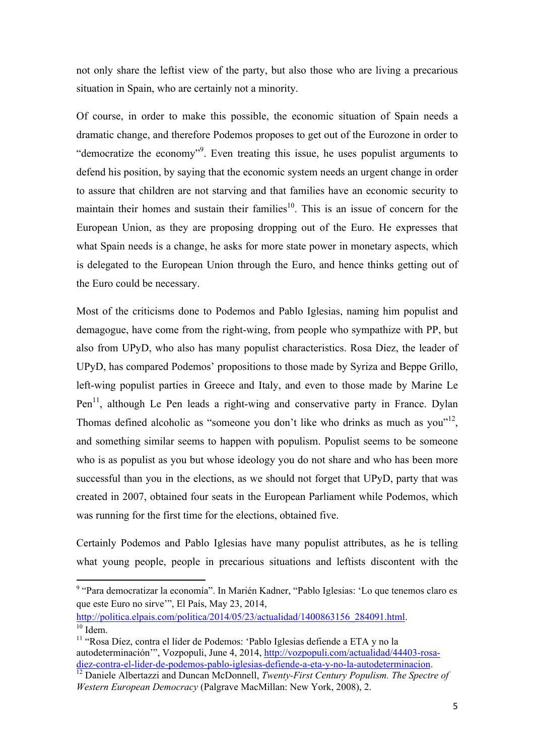not only share the leftist view of the party, but also those who are living a precarious situation in Spain, who are certainly not a minority.

Of course, in order to make this possible, the economic situation of Spain needs a dramatic change, and therefore Podemos proposes to get out of the Eurozone in order to "democratize the economy"<sup>9</sup>. Even treating this issue, he uses populist arguments to defend his position, by saying that the economic system needs an urgent change in order to assure that children are not starving and that families have an economic security to maintain their homes and sustain their families<sup>10</sup>. This is an issue of concern for the European Union, as they are proposing dropping out of the Euro. He expresses that what Spain needs is a change, he asks for more state power in monetary aspects, which is delegated to the European Union through the Euro, and hence thinks getting out of the Euro could be necessary.

Most of the criticisms done to Podemos and Pablo Iglesias, naming him populist and demagogue, have come from the right-wing, from people who sympathize with PP, but also from UPyD, who also has many populist characteristics. Rosa Díez, the leader of UPyD, has compared Podemos' propositions to those made by Syriza and Beppe Grillo, left-wing populist parties in Greece and Italy, and even to those made by Marine Le  $Pen<sup>11</sup>$ , although Le Pen leads a right-wing and conservative party in France. Dylan Thomas defined alcoholic as "someone you don't like who drinks as much as you"<sup>12</sup>, and something similar seems to happen with populism. Populist seems to be someone who is as populist as you but whose ideology you do not share and who has been more successful than you in the elections, as we should not forget that UPyD, party that was created in 2007, obtained four seats in the European Parliament while Podemos, which was running for the first time for the elections, obtained five.

Certainly Podemos and Pablo Iglesias have many populist attributes, as he is telling what young people, people in precarious situations and leftists discontent with the

http://politica.elpais.com/politica/2014/05/23/actualidad/1400863156\_284091.html.<br><sup>10</sup> Idem

<u> 1989 - Johann Stein, fransk politik (d. 1989)</u>

<sup>9</sup> "Para democratizar la economía". In Marién Kadner, "Pablo Iglesias: 'Lo que tenemos claro es que este Euro no sirve'", El País, May 23, 2014,

<sup>&</sup>lt;sup>11</sup> "Rosa Díez, contra el líder de Podemos: 'Pablo Iglesias defiende a ETA y no la autodeterminación'", Vozpopuli, June 4, 2014, http://vozpopuli.com/actualidad/44403-rosa-<br>diez-contra-el-lider-de-podemos-pablo-iglesias-defiende-a-eta-y-no-la-autodeterminacion.

<sup>&</sup>lt;sup>12</sup> Daniele Albertazzi and Duncan McDonnell, *Twenty-First Century Populism. The Spectre of Western European Democracy* (Palgrave MacMillan: New York, 2008), 2.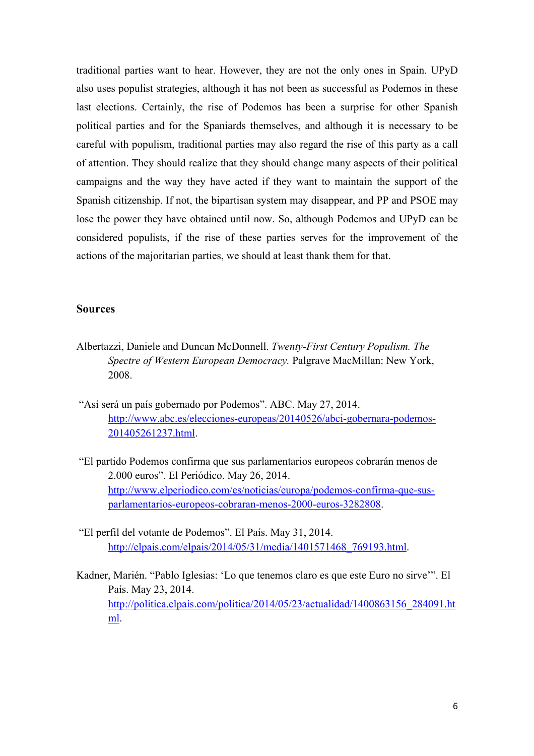traditional parties want to hear. However, they are not the only ones in Spain. UPyD also uses populist strategies, although it has not been as successful as Podemos in these last elections. Certainly, the rise of Podemos has been a surprise for other Spanish political parties and for the Spaniards themselves, and although it is necessary to be careful with populism, traditional parties may also regard the rise of this party as a call of attention. They should realize that they should change many aspects of their political campaigns and the way they have acted if they want to maintain the support of the Spanish citizenship. If not, the bipartisan system may disappear, and PP and PSOE may lose the power they have obtained until now. So, although Podemos and UPyD can be considered populists, if the rise of these parties serves for the improvement of the actions of the majoritarian parties, we should at least thank them for that.

## **Sources**

- Albertazzi, Daniele and Duncan McDonnell. *Twenty-First Century Populism. The Spectre of Western European Democracy.* Palgrave MacMillan: New York, 2008.
- "Así será un país gobernado por Podemos". ABC. May 27, 2014. http://www.abc.es/elecciones-europeas/20140526/abci-gobernara-podemos-201405261237.html.
- "El partido Podemos confirma que sus parlamentarios europeos cobrarán menos de 2.000 euros". El Periódico. May 26, 2014. http://www.elperiodico.com/es/noticias/europa/podemos-confirma-que-susparlamentarios-europeos-cobraran-menos-2000-euros-3282808.
- "El perfil del votante de Podemos". El País. May 31, 2014. http://elpais.com/elpais/2014/05/31/media/1401571468\_769193.html.
- Kadner, Marién. "Pablo Iglesias: 'Lo que tenemos claro es que este Euro no sirve'". El País. May 23, 2014. http://politica.elpais.com/politica/2014/05/23/actualidad/1400863156\_284091.ht ml.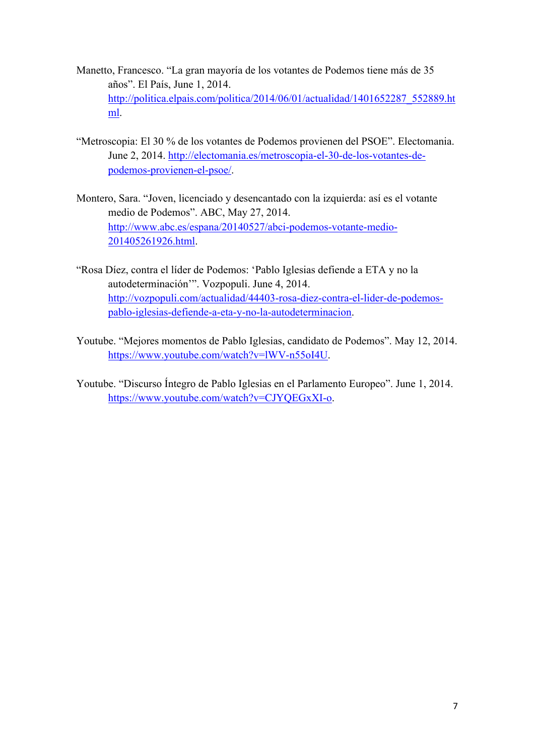- Manetto, Francesco. "La gran mayoría de los votantes de Podemos tiene más de 35 años". El País, June 1, 2014. http://politica.elpais.com/politica/2014/06/01/actualidad/1401652287\_552889.ht ml.
- "Metroscopia: El 30 % de los votantes de Podemos provienen del PSOE". Electomania. June 2, 2014. http://electomania.es/metroscopia-el-30-de-los-votantes-depodemos-provienen-el-psoe/.
- Montero, Sara. "Joven, licenciado y desencantado con la izquierda: así es el votante medio de Podemos". ABC, May 27, 2014. http://www.abc.es/espana/20140527/abci-podemos-votante-medio-201405261926.html.
- "Rosa Díez, contra el líder de Podemos: 'Pablo Iglesias defiende a ETA y no la autodeterminación'". Vozpopuli. June 4, 2014. http://vozpopuli.com/actualidad/44403-rosa-diez-contra-el-lider-de-podemospablo-iglesias-defiende-a-eta-y-no-la-autodeterminacion.
- Youtube. "Mejores momentos de Pablo Iglesias, candidato de Podemos". May 12, 2014. https://www.youtube.com/watch?v=lWV-n55oI4U.
- Youtube. "Discurso Íntegro de Pablo Iglesias en el Parlamento Europeo". June 1, 2014. https://www.youtube.com/watch?v=CJYQEGxXI-o.